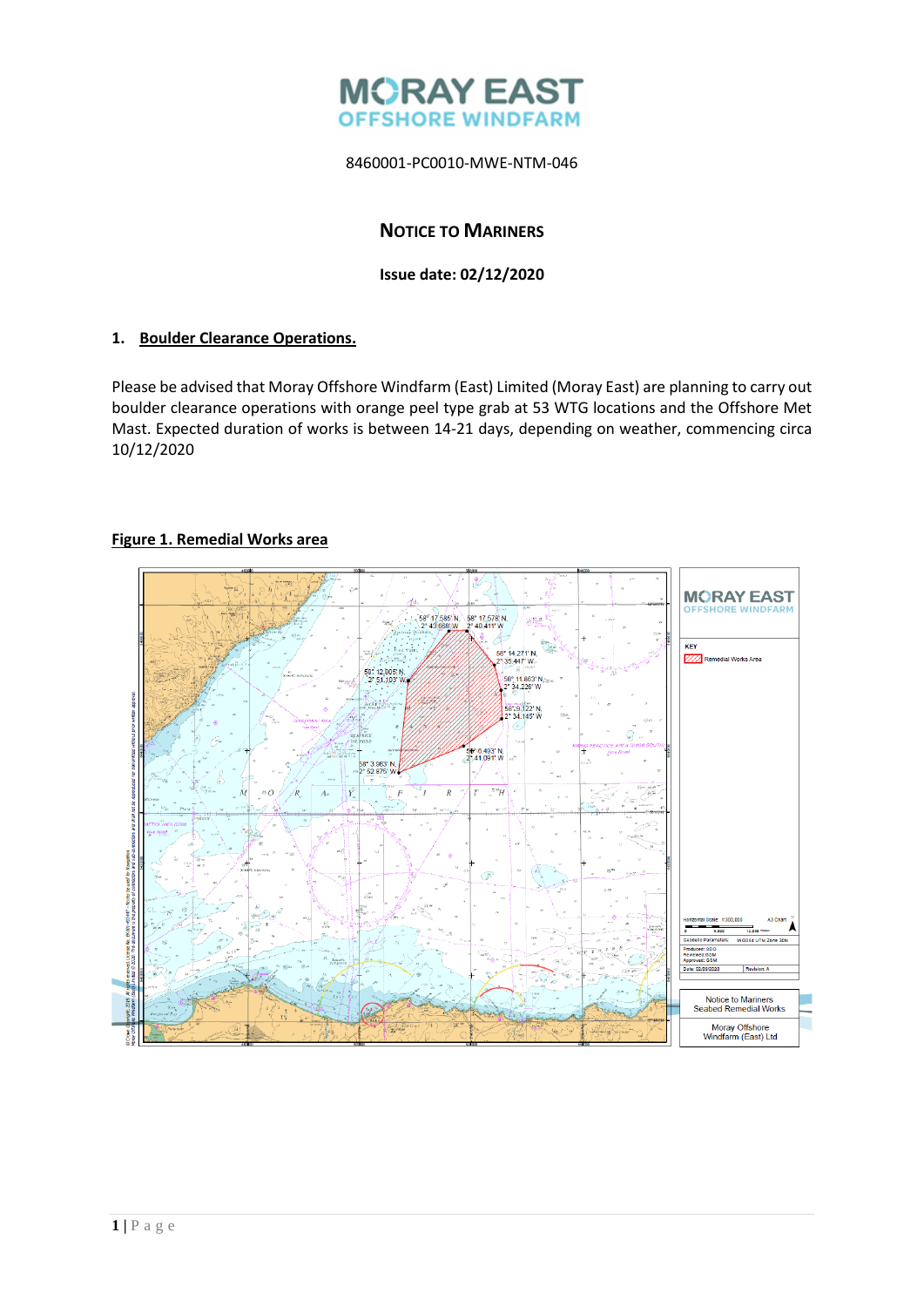

# **NOTICE TO MARINERS**

## **Issue date: 02/12/2020**

## **1. Boulder Clearance Operations.**

Please be advised that Moray Offshore Windfarm (East) Limited (Moray East) are planning to carry out boulder clearance operations with orange peel type grab at 53 WTG locations and the Offshore Met Mast. Expected duration of works is between 14-21 days, depending on weather, commencing circa 10/12/2020

## **Figure 1. Remedial Works area**

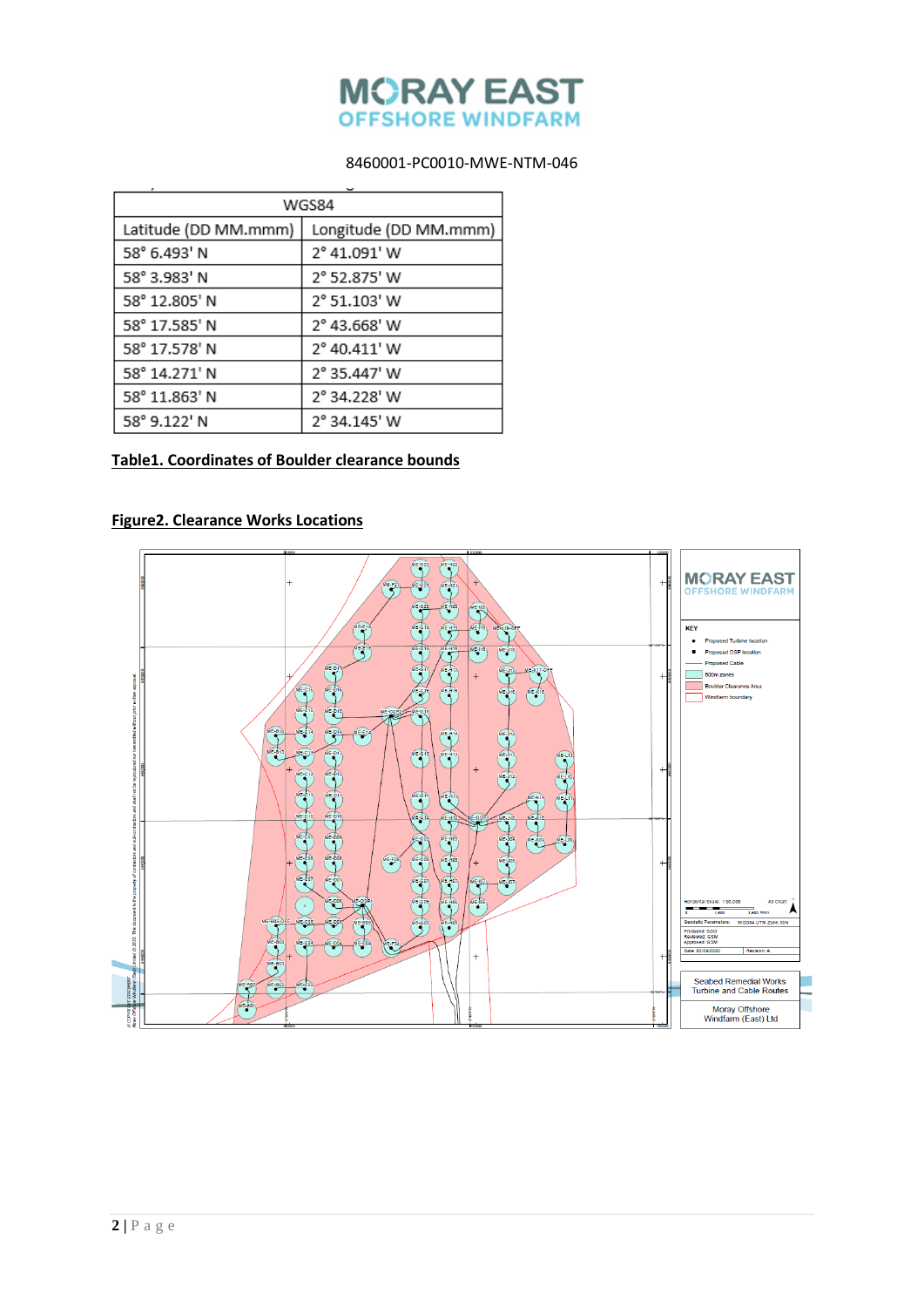

| WGS84                |                       |  |
|----------------------|-----------------------|--|
| Latitude (DD MM.mmm) | Longitude (DD MM.mmm) |  |
| 58° 6.493' N         | 2° 41.091' W          |  |
| 58° 3.983' N         | 2° 52.875' W          |  |
| 58° 12.805' N        | 2° 51.103' W          |  |
| 58° 17.585' N        | 2° 43.668' W          |  |
| 58° 17.578' N        | 2° 40.411' W          |  |
| 58° 14.271' N        | 2° 35.447' W          |  |
| 58° 11.863' N        | 2° 34.228' W          |  |
| 58° 9.122' N         | 2° 34.145' W          |  |

# **Table1. Coordinates of Boulder clearance bounds**

# **Figure2. Clearance Works Locations**

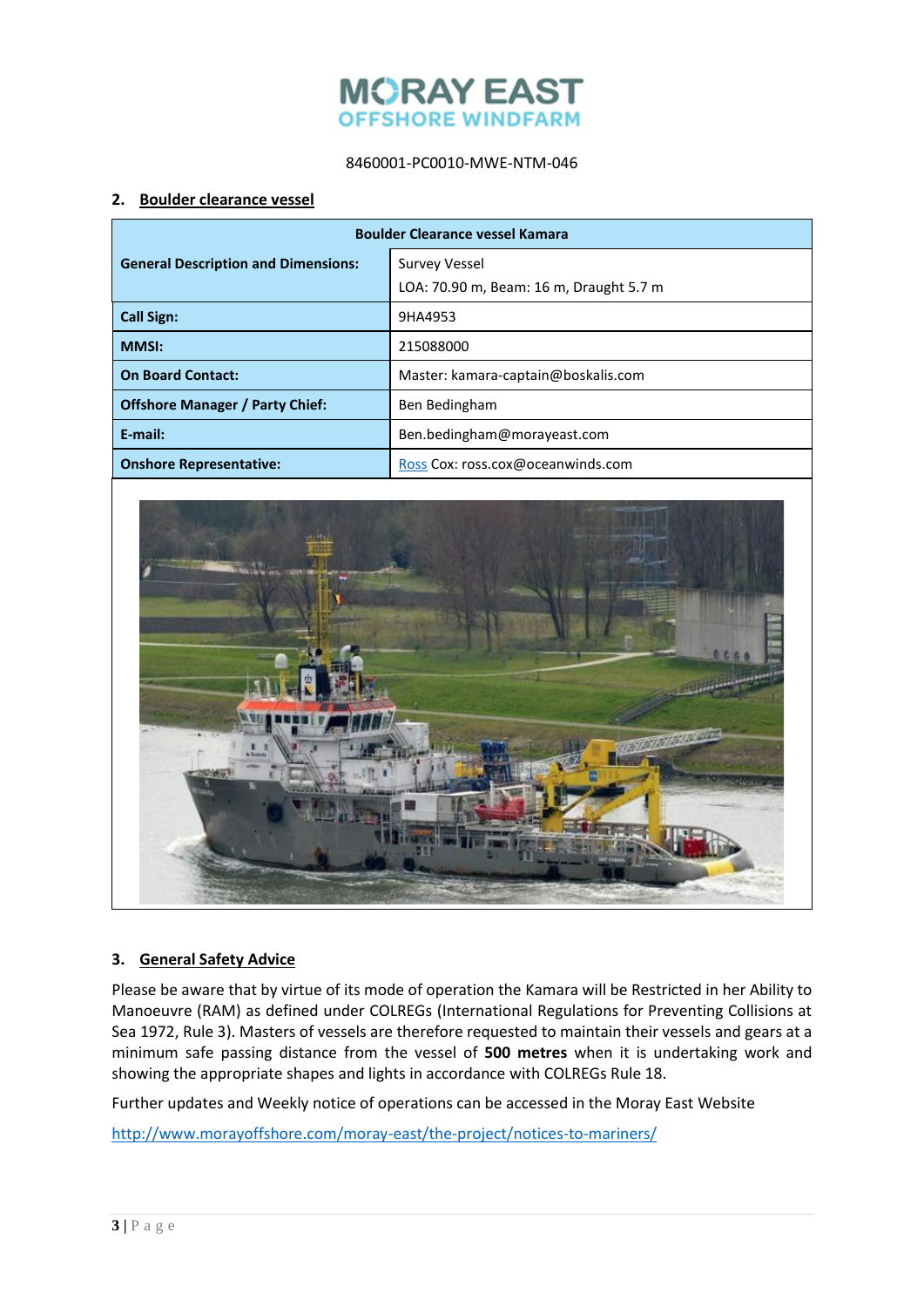

#### **2. Boulder clearance vessel**

| <b>Boulder Clearance vessel Kamara</b>     |                                         |  |
|--------------------------------------------|-----------------------------------------|--|
| <b>General Description and Dimensions:</b> | Survey Vessel                           |  |
|                                            | LOA: 70.90 m, Beam: 16 m, Draught 5.7 m |  |
| <b>Call Sign:</b>                          | 9HA4953                                 |  |
| <b>MMSI:</b>                               | 215088000                               |  |
| <b>On Board Contact:</b>                   | Master: kamara-captain@boskalis.com     |  |
| <b>Offshore Manager / Party Chief:</b>     | Ben Bedingham                           |  |
| E-mail:                                    | Ben.bedingham@morayeast.com             |  |
| <b>Onshore Representative:</b>             | Ross Cox: ross.cox@oceanwinds.com       |  |



#### **3. General Safety Advice**

Please be aware that by virtue of its mode of operation the Kamara will be Restricted in her Ability to Manoeuvre (RAM) as defined under COLREGs (International Regulations for Preventing Collisions at Sea 1972, Rule 3). Masters of vessels are therefore requested to maintain their vessels and gears at a minimum safe passing distance from the vessel of **500 metres** when it is undertaking work and showing the appropriate shapes and lights in accordance with COLREGs Rule 18.

Further updates and Weekly notice of operations can be accessed in the Moray East Website

<http://www.morayoffshore.com/moray-east/the-project/notices-to-mariners/>